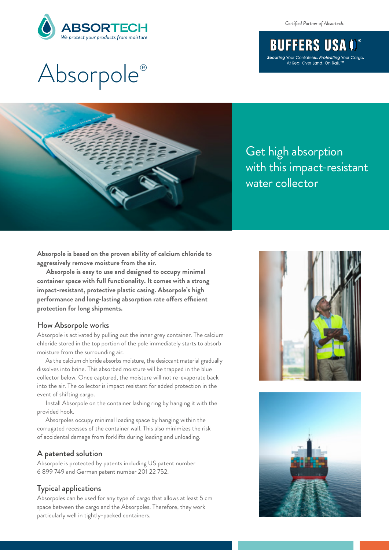

*Certified Partner of Absortech:*

# **BUFFERS USA I** Securing Your Containers. Protecting Your Cargo.<br>At Sea, Over Land, On Rail,™

# Absorpole ®



Get high absorption with this impact-resistant water collector

**Absorpole is based on the proven ability of calcium chloride to aggressively remove moisture from the air.**

**Absorpole is easy to use and designed to occupy minimal container space with full functionality. It comes with a strong impact-resistant, protective plastic casing. Absorpole's high protection for long shipments.** performance and long-lasting absorption rate offers efficient

#### How Absorpole works

Absorpole is activated by pulling out the inner grey container. The calcium chloride stored in the top portion of the pole immediately starts to absorb moisture from the surrounding air.

As the calcium chloride absorbs moisture, the desiccant material gradually dissolves into brine. This absorbed moisture will be trapped in the blue collector below. Once captured, the moisture will not re-evaporate back into the air. The collector is impact resistant for added protection in the event of shifting cargo.

Install Absorpole on the container lashing ring by hanging it with the provided hook.

Absorpoles occupy minimal loading space by hanging within the corrugated recesses of the container wall. This also minimizes the risk of accidental damage from forklifts during loading and unloading.

### A patented solution

Absorpole is protected by patents including US patent number 6 899 749 and German patent number 201 22 752.

### Typical applications

Absorpoles can be used for any type of cargo that allows at least 5 cm space between the cargo and the Absorpoles. Therefore, they work particularly well in tightly-packed containers.